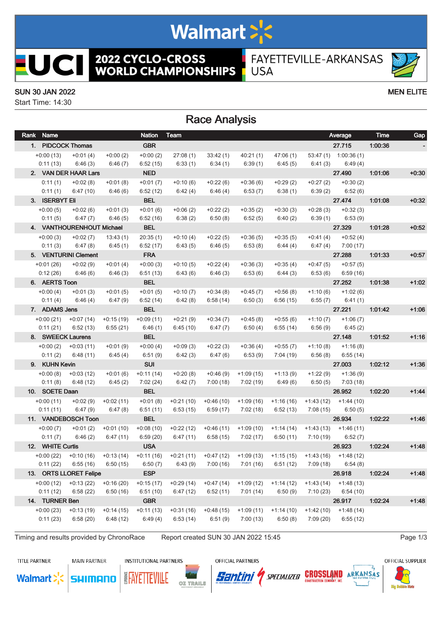# Walmart >'s

**2022 CYCLO-CROSS<br>WORLD CHAMPIONSHIPS** FAYETTEVILLE-ARKANSAS **USA** 

#### SUN 30 JAN 2022 MEN ELITE

ICI

 $\overline{\phantom{a}}$ 

Start Time: 14:30

## Race Analysis

| Rank Name        |                                  |             | Nation      | Team                                                            |                         |             |                                                 |            | Average                 | Time    | Gap     |
|------------------|----------------------------------|-------------|-------------|-----------------------------------------------------------------|-------------------------|-------------|-------------------------------------------------|------------|-------------------------|---------|---------|
|                  | 1. PIDCOCK Thomas                |             | <b>GBR</b>  |                                                                 |                         |             |                                                 |            | 27.715                  | 1:00:36 |         |
| $+0:00(13)$      | $+0:01(4)$                       | $+0:00(2)$  | $+0:00(2)$  | 27:08(1)                                                        | 33:42(1)                | 40:21(1)    | 47:06(1)                                        |            | 53:47 (1) 1:00:36 (1)   |         |         |
| 0:11(13)         | 6:46(3)                          | 6:46(7)     | 6:52(15)    | 6:33(1)                                                         | 6:34(1)                 | 6:39(1)     | 6:45(5)                                         | 6:41 (3)   | 6:49(4)                 |         |         |
|                  | 2. VAN DER HAAR Lars             |             | <b>NED</b>  |                                                                 |                         |             |                                                 |            | 27.490                  | 1:01:06 | $+0:30$ |
| 0:11(1)          | $+0:02(8)$                       | $+0:01(8)$  | $+0:01(7)$  | $+0:10(6)$                                                      | $+0:22(6)$              | $+0:36(6)$  | $+0:29(2)$                                      | $+0:27(2)$ | $+0:30(2)$              |         |         |
| 0:11(1)          | 6:47(10)                         | 6:46(6)     | 6:52(12)    | 6:42(4)                                                         | 6:46(4)                 | 6:53(7)     | 6:38(1)                                         | 6:39(2)    | 6:52(6)                 |         |         |
| 3. ISERBYT Eli   |                                  |             | <b>BEL</b>  |                                                                 |                         |             |                                                 |            | 27.474                  | 1.01.08 | $+0.32$ |
| $+0:00(5)$       | $+0.02(6)$                       | $+0:01(3)$  | $+0:01(6)$  | $+0.06(2)$                                                      | $+0:22(2)$              | $+0:35(2)$  | $+0:30(3)$                                      | $+0.28(3)$ | $+0:32(3)$              |         |         |
| 0:11(5)          | 6:47(7)                          | 6:46(5)     | 6:52(16)    | 6:38(2)                                                         | 6:50(8)                 | 6:52(5)     | 6:40(2)                                         | 6:39 (1)   | 6:53(9)                 |         |         |
|                  | 4. VANTHOURENHOUT Michael        |             | <b>BEL</b>  |                                                                 |                         |             |                                                 |            | 27.329                  | 1:01:28 | $+0:52$ |
| $+0:00(3)$       | $+0:02(7)$                       | 13:43(1)    | 20:35(1)    | $+0:10(4)$                                                      | $+0:22(5)$              | $+0:36(5)$  | $+0:35(5)$                                      | $+0:41(4)$ | $+0:52(4)$              |         |         |
| 0:11(3)          | 6:47(8)                          | 6:45(1)     | 6:52(17)    | 6:43(5)                                                         | 6:46(5)                 | 6:53(8)     | 6:44(4)                                         | 6:47(4)    | 7:00(17)                |         |         |
|                  | 5. VENTURINI Clement             |             | <b>FRA</b>  |                                                                 |                         |             |                                                 |            | 27.288                  | 1:01:33 | $+0:57$ |
| $+0.01(26)$      | $+0:02(9)$                       | $+0:01(4)$  | $+0:00(3)$  | $+0:10(5)$                                                      | $+0:22(4)$              | $+0:36(3)$  | $+0:35(4)$                                      | $+0.47(5)$ | $+0:57(5)$              |         |         |
| 0:12(26)         | 6:46 (6)                         | 6:46(3)     | 6:51(13)    | 6:43(6)                                                         | 6:46(3)                 | 6:53(6)     | 6:44(3)                                         | 6:53(6)    | 6:59(16)                |         |         |
| 6. AERTS Toon    |                                  |             | <b>BEL</b>  |                                                                 |                         |             |                                                 |            | 27.252                  | 1:01:38 | $+1:02$ |
| $+0:00(4)$       | $+0:01(3)$                       | $+0:01(5)$  | $+0:01(5)$  | $+0:10(7)$                                                      | $+0:34(8)$              | $+0:45(7)$  | $+0:56(8)$                                      | $+1:10(6)$ | $+1:02(6)$              |         |         |
| 0:11(4)          | 6:46(4)                          | 6:47(9)     | 6:52(14)    | 6:42(8)                                                         | 6:58(14)                | 6:50(3)     | 6:56(15)                                        | 6:55(7)    | 6:41(1)                 |         |         |
| 7. ADAMS Jens    |                                  |             | <b>BEL</b>  |                                                                 |                         |             |                                                 |            | 27.221                  | 1:01:42 | $+1:06$ |
|                  | $+0.00(21)$ $+0.07(14)$          | $+0:15(19)$ | $+0.09(11)$ | $+0:21(9)$                                                      | $+0:34(7)$              | $+0.45(8)$  | $+0.55(6)$                                      | $+1:10(7)$ | $+1:06(7)$              |         |         |
| 0:11(21)         | 6:52(13)                         | 6:55(21)    | 6:46(1)     | 6:45(10)                                                        | 6:47(7)                 | 6:50(4)     | 6:55(14)                                        |            | $6:56(9)$ $6:45(2)$     |         |         |
|                  | 8. SWEECK Laurens                |             | <b>BEL</b>  |                                                                 |                         |             |                                                 |            | 27.148                  | 1:01:52 | $+1:16$ |
|                  | $+0.00(2)$ $+0.03(11)$           | $+0:01(9)$  | $+0:00(4)$  | $+0.09(3)$                                                      | $+0:22(3)$              | $+0:36(4)$  | $+0:55(7)$                                      | $+1:10(8)$ | $+1:16(8)$              |         |         |
| 0:11(2)          | 6:48 (11)                        | 6:45(4)     | 6:51(9)     | 6:42(3)                                                         | 6:47(6)                 | 6:53(9)     | 7:04 (19)                                       | 6:56(8)    | 6:55(14)                |         |         |
| 9. KUHN Kevin    |                                  |             | <b>SUI</b>  |                                                                 |                         |             |                                                 |            | 27.003                  | 1:02:12 | $+1:36$ |
| $+0:00(8)$       | +0:03 (12)                       | $+0:01(6)$  | $+0:11(14)$ | $+0:20(8)$                                                      | $+0:46(9)$              | $+1:09(15)$ | $+1:13(9)$                                      | +1:22 (9)  | $+1:36(9)$              |         |         |
| 0:11(8)          | 6:48 (12)                        | 6:45(2)     | 7:02(24)    | 6:42(7)                                                         | 7:00(18)                | 7:02 (19)   | 6:49 (6)                                        | 6:50(5)    | 7:03 (18)               |         |         |
| 10. SOETE Daan   |                                  |             | <b>BEL</b>  |                                                                 |                         |             |                                                 |            | 26.952                  | 1.02.20 | $+1.44$ |
| $+0:00(11)$      | +0:02 (9)                        | $+0:02(11)$ | $+0:01(8)$  | $+0:21(10)$                                                     | $+0.46(10)$             |             | $+1:09(16)$ $+1:16(16)$                         |            | $+1:43(12)$ $+1:44(10)$ |         |         |
| 0:11(11)         | 6:47 (9)                         | 6:47(8)     | 6:51(11)    | 6:53(15)                                                        | 6:59(17)                | 7:02(18)    | 6:52(13)                                        | 7:08 (15)  | 6:50(5)                 |         |         |
|                  | 11. VANDEBOSCH Toon              |             | <b>BEL</b>  |                                                                 |                         |             |                                                 |            | 26.934                  | 1.02.22 | $+1.46$ |
| $+0:00(7)$       | $+0:01(2)$                       | $+0:01(10)$ | $+0.08(10)$ | $+0:22(12)$                                                     | $+0.46(11)$             |             | $+1:09(10)$ $+1:14(14)$                         |            | $+1:43(13)$ $+1:46(11)$ |         |         |
| 0:11(7)          | 6:46(2)                          | 6:47(11)    | 6:59(20)    | 6:47 (11)                                                       | 6:58(15)                | 7:02 (17)   | 6:50(11)                                        | 7:10 (19)  | 6:52(7)                 |         |         |
| 12. WHITE Curtis |                                  |             | <b>USA</b>  |                                                                 |                         |             |                                                 |            | 26.923                  | 1.02.24 | $+1:48$ |
| +0:00 (22)       | +0:10 (16)                       | $+0:13(14)$ | $+0:11(16)$ |                                                                 | $+0.21(11)$ $+0.47(12)$ |             | $+1:09(13)$ $+1:15(15)$ $+1:43(16)$ $+1:48(12)$ |            |                         |         |         |
|                  | $0:11(22)$ $6:55(16)$ $6:50(15)$ |             |             | $6:50(7)$ $6:43(9)$ $7:00(16)$ $7:01(16)$ $6:51(12)$ $7:09(18)$ |                         |             |                                                 |            | 6:54 (8)                |         |         |
|                  | 13. ORTS LLORET Felipe           |             | <b>ESP</b>  |                                                                 |                         |             |                                                 |            | 26.918                  | 1.02.24 | $+1:48$ |
|                  | $+0:00(12)$ $+0:13(22)$          | $+0:16(20)$ | $+0:15(17)$ | $+0.29(14)$                                                     | $+0.47(14)$             | $+1:09(12)$ | +1:14 (12)                                      |            | $+1:43(14)$ $+1:48(13)$ |         |         |
| 0:11(12)         | 6:58(22)                         | 6:50(16)    | 6:51(10)    | 6:47(12)                                                        | 6:52(11)                | 7:01(14)    | 6:50(9)                                         | 7:10 (23)  | 6:54(10)                |         |         |
| 14. TURNER Ben   |                                  |             | <b>GBR</b>  |                                                                 |                         |             |                                                 |            | 26.917                  | 1.02.24 | $+1.48$ |
| $+0:00(23)$      | $+0:13(19)$                      | $+0:14(15)$ | $+0:11(13)$ | $+0:31(16)$                                                     | $+0.48(15)$             | $+1:09(11)$ | $+1:14(10)$                                     |            | $+1:42(10)$ $+1:48(14)$ |         |         |
| 0:11(23)         | 6:58(20)                         | 6:48(12)    | 6:49(4)     | 6:53(14)                                                        | 6:51(9)                 | 7:00(13)    | 6:50(8)                                         | 7:09 (20)  | 6:55(12)                |         |         |
|                  |                                  |             |             |                                                                 |                         |             |                                                 |            |                         |         |         |

Timing and results provided by ChronoRace Report created SUN 30 JAN 2022 15:45

**TITLE PARTNER** 

**MAIN PARTNER INSTITUTIONAL PARTNERS** 









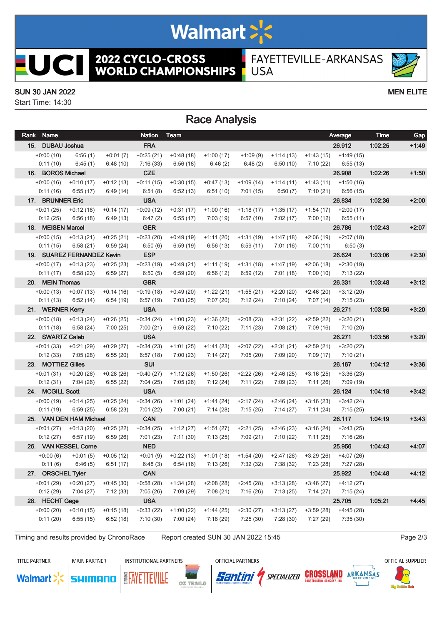# Walmart >'s

**2022 CYCLO-CROSS<br>WORLD CHAMPIONSHIPS** 

FAYETTEVILLE-ARKANSAS **USA** 

### SUN 30 JAN 2022 MEN ELITE

ICI

ı

EU

Start Time: 14:30

## Race Analysis

| Rank Name              |                                |                         | <b>Nation</b>          | Team                                                  |                          |                         |                         |                         | Average                  | Time    | Gap     |
|------------------------|--------------------------------|-------------------------|------------------------|-------------------------------------------------------|--------------------------|-------------------------|-------------------------|-------------------------|--------------------------|---------|---------|
| 15. DUBAU Joshua       |                                |                         | <b>FRA</b>             |                                                       |                          |                         |                         |                         | 26.912                   | 1:02:25 | $+1.49$ |
| $+0:00(10)$            | 6:56(1)                        | $+0:01(7)$              | $+0:25(21)$            | $+0:48(18)$                                           | $+1:00(17)$              | $+1:09(9)$              | $+1:14(13)$             |                         | $+1:43(15)$ $+1:49(15)$  |         |         |
| 0:11(10)               | 6:45(1)                        | 6:48(10)                | 7:16(33)               | 6:56(18)                                              | 6:46(2)                  | 6:48(2)                 | 6:50(10)                | 7:10 (22)               | 6:55(13)                 |         |         |
| 16. BOROS Michael      |                                |                         | <b>CZE</b>             |                                                       |                          |                         |                         |                         | 26.908                   | 1.02.26 | $+1:50$ |
| $+0:00(16)$            | $+0:10(17)$                    | $+0:12(13)$             | $+0:11(15)$            | $+0:30(15)$                                           | $+0:47(13)$              | $+1:09(14)$             | $+1:14(11)$             | $+1:43(11)$             | $+1:50(16)$              |         |         |
| 0:11(16)               | 6:55(17)                       | 6:49(14)                | 6:51(8)                | 6:52(13)                                              | 6:51(10)                 | 7:01 (15)               | 6:50(7)                 | 7:10(21)                | 6:56(15)                 |         |         |
| 17. BRUNNER Eric       |                                |                         | <b>USA</b>             |                                                       |                          |                         |                         |                         | 26.834                   | 1:02:36 | $+2:00$ |
| $+0:01(25)$            | $+0:12(18)$                    | $+0:14(17)$             | $+0.09(12)$            | $+0:31(17)$                                           | $+1:00(16)$              | $+1:18(17)$             | $+1:35(17)$             | $+1:54(17)$             | $+2:00(17)$              |         |         |
| 0:12(25)               | 6:56(18)                       | 6:49(13)                | 6:47(2)                | 6:55(17)                                              | 7:03(19)                 | 6:57(10)                | 7:02(17)                | 7:00 (12)               | 6:55(11)                 |         |         |
| 18. MEISEN Marcel      |                                |                         | <b>GER</b>             |                                                       |                          |                         |                         |                         | 26.786                   | 1.02.43 | $+2:07$ |
| $+0:00(15)$            | $+0:13(21)$                    | $+0:25(21)$             | $+0:23(20)$            | $+0.49(19)$                                           | $+1:11(20)$              | $+1:31(19)$             | $+1:47(18)$             |                         | $+2:06(19)$ $+2:07(18)$  |         |         |
| 0:11(15)               | 6:58(21)                       | 6:59(24)                | 6:50(6)                | 6:59(19)                                              | 6:56(13)                 | 6:59(11)                | 7:01(16)                | 7:00 (11)               | 6:50(3)                  |         |         |
|                        | 19. SUAREZ FERNANDEZ Kevin     |                         | <b>ESP</b>             |                                                       |                          |                         |                         |                         | 26.624                   | 1.03.06 | $+2:30$ |
|                        | $+0:00(17)$ $+0:13(23)$        | $+0.25(23)$             | $+0:23(19)$            | $+0.49(21)$                                           | $+1:11(19)$              | $+1:31(18)$             | +1:47 (19)              |                         | $+2:06(18)$ $+2:30(19)$  |         |         |
| 0:11(17)               | 6:58(23)                       | 6:59(27)                | 6:50(5)                | 6:59(20)                                              | 6:56(12)                 | 6:59(12)                | 7:01(18)                | 7:00 (10)               | 7:13 (22)                |         |         |
| 20. MEIN Thomas        |                                |                         | <b>GBR</b>             |                                                       |                          |                         |                         |                         | 26.331                   | 1:03:48 | $+3:12$ |
|                        | $+0:00(13)$ $+0:07(13)$        | $+0:14(16)$             | $+0:19(18)$            | $+0.49(20)$                                           | $+1:22(21)$              |                         | $+1:55(21)$ $+2:20(20)$ |                         | $+2:46(20)$ $+3:12(20)$  |         |         |
| 0:11(13)               | 6:52(14)                       | 6:54(19)                | 6:57(19)               | 7:03(25)                                              | 7:07 (20)                | 7:12(24)                | 7:10(24)                |                         | $7:07(14)$ $7:15(23)$    |         |         |
| 21. WERNER Kerry       |                                |                         | <b>USA</b>             |                                                       |                          |                         |                         |                         | 26.271                   | 1:03:56 | $+3:20$ |
|                        | $+0.00(18)$ $+0.13(24)$        | $+0.26(25)$             | $+0:34(24)$            | $+1:00(23)$                                           | $+1:36(22)$              | $+2:08(23)$             | $+2:31(22)$             |                         | $+2:59(22)$ $+3:20(21)$  |         |         |
| 0:11(18)               | 6:58(24)                       | 7:00(25)                | 7:00(21)               | 6:59(22)                                              | 7:10(22)                 | 7:11(23)                | 7:08(21)                |                         | $7:09(16)$ $7:10(20)$    |         |         |
| 22. SWARTZ Caleb       |                                |                         | <b>USA</b>             |                                                       |                          |                         |                         |                         | 26.271                   | 1:03:56 | $+3:20$ |
| $+0:01(33)$            | $+0:21(29)$                    | $+0.29(27)$             | $+0:34(23)$            | $+1:01(25)$                                           | $+1:41(23)$              | $+2:07(22)$             | $+2:31(21)$             | $+2:59(21)$             | $+3:20(22)$              |         |         |
| 0:12(33)               | 7:05 (28)                      | 6:55(20)                | 6:57(18)               | 7:00(23)                                              | 7:14 (27)                | 7:05(20)                | 7:09(20)                |                         | 7:09 (17) 7:10 (21)      |         |         |
| 23. MOTTIEZ Gilles     |                                |                         | <b>SUI</b>             |                                                       |                          |                         |                         |                         | 26.167                   | 1:04:12 | $+3:36$ |
|                        | $+0.01(31)$ $+0.20(26)$        | $+0.28(26)$             | $+0:40(27)$            | $+1:12(26)$                                           | $+1:50(26)$              | $+2:22(26)$             | $+2:46(25)$             | $+3:16(25)$             | $+3:36(23)$              |         |         |
| 0:12(31)               | 7:04 (26)                      | 6:55(22)                | 7:04 (25)              | 7:05 (26)                                             | 7:12(24)                 | 7:11(22)                | 7:09 (23)               | 7:11 (26)               | 7:09 (19)                |         |         |
| 24. MCGILL Scott       |                                |                         | <b>USA</b>             |                                                       |                          |                         |                         |                         | 26.124                   | 1.04.18 | $+3:42$ |
| +0:00 (19)<br>0:11(19) | $+0:14(25)$<br>6:59(25)        | $+0:25(24)$<br>6:58(23) | $+0:34(26)$            | $+1:01(24)$<br>7:00(21)                               | $+1:41(24)$<br>7:14 (28) | $+2:17(24)$<br>7:15(25) | +2:46 (24)<br>7:14(27)  | +3:16 (23)              | $+3:42(24)$              |         |         |
|                        | 25. VAN DEN HAM Michael        |                         | 7:01(22)<br><b>CAN</b> |                                                       |                          |                         |                         | 7:11 (24)               | 7:15 (25)<br>26.117      | 1:04:19 | $+3:43$ |
| $+0:01(27)$            |                                |                         | $+0:34(25)$            |                                                       | $+1:51(27)$              | $+2:21(25)$             |                         |                         |                          |         |         |
| 0:12(27)               | $+0:13(20)$<br>6:57(19)        | $+0:25(22)$<br>6:59(26) | 7:01(23)               | $+1:12(27)$<br>7:11 (30)                              | 7:13(25)                 | 7:09(21)                | $+2:46(23)$<br>7:10(22) | +3:16 (24)<br>7:11 (25) | $+3:43(25)$<br>7:16 (26) |         |         |
|                        | 26. VAN KESSEL Corne           |                         | <b>NED</b>             |                                                       |                          |                         |                         |                         | 25.956                   | 1:04:43 | $+4:07$ |
| $+0:00(6)$             | $+0:01(5)$                     | $+0:05(12)$             | $+0:01(9)$             | $+0:22(13)$                                           | $+1:01(18)$              | $+1:54(20)$             | $+2:47(26)$             |                         | $+3:29(26)$ $+4:07(26)$  |         |         |
|                        | $0:11(6)$ $6:46(5)$ $6:51(17)$ |                         |                        | $6:48(3)$ $6:54(16)$ $7:13(26)$ $7:32(32)$ $7:38(32)$ |                          |                         |                         |                         | 7:23 (28) 7:27 (28)      |         |         |
| 27. ORSCHEL Tyler      |                                |                         | <b>CAN</b>             |                                                       |                          |                         |                         |                         | 25.922                   | 1.04.48 | $+4:12$ |
|                        | $+0.01(29)$ $+0.20(27)$        | $+0.45(30)$             | $+0.58(28)$            | $+1:34(28)$                                           | $+2:08(28)$              | $+2:45(28)$             | $+3:13(28)$             | $+3:46(27)$             | $+4:12(27)$              |         |         |
| 0:12(29)               | 7:04(27)                       | 7:12(33)                | 7:05(26)               | 7:09 (29)                                             | 7:08(21)                 | 7:16(26)                | 7:13(25)                | 7:14(27)                | 7:15(24)                 |         |         |
| 28. HECHT Gage         |                                |                         | <b>USA</b>             |                                                       |                          |                         |                         |                         | 25.705                   | 1:05:21 | $+4.45$ |
| $+0:00(20)$            | $+0:10(15)$                    | $+0:15(18)$             | $+0:33(22)$            | $+1:00(22)$                                           | $+1:44(25)$              | $+2:30(27)$             | $+3:13(27)$             | $+3:59(28)$             | $+4:45(28)$              |         |         |
| 0:11(20)               | 6:55(15)                       | 6:52(18)                | 7:10(30)               | 7:00(24)                                              | 7:18(29)                 | 7:25(30)                | 7:28(30)                | 7:27 (29)               | 7:35(30)                 |         |         |
|                        |                                |                         |                        |                                                       |                          |                         |                         |                         |                          |         |         |

Timing and results provided by ChronoRace Report created SUN 30 JAN 2022 15:45

**TITLE PARTNER** 

**MAIN PARTNER INSTITUTIONAL PARTNERS** 











OFFICIAL SUPPLIER